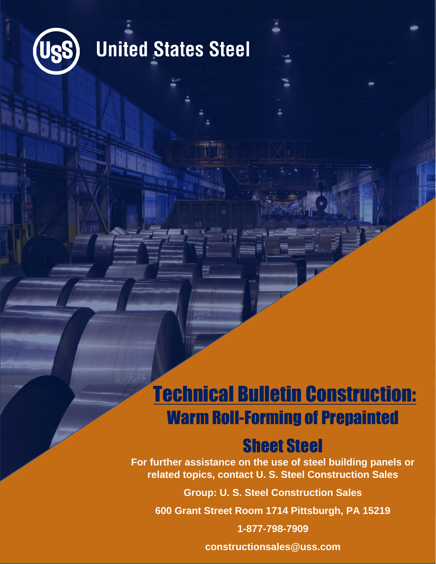

### **United States Steel**

### Technical Bulletin Construction: Warm Roll-Forming of Prepainted

### Sheet Steel

**For further assistance on the use of steel building panels or related topics, contact U. S. Steel Construction Sales**

**Group: U. S. Steel Construction Sales**

**600 Grant Street Room 1714 Pittsburgh, PA 15219**

**1-877-798-7909**

**constructionsales@uss.com**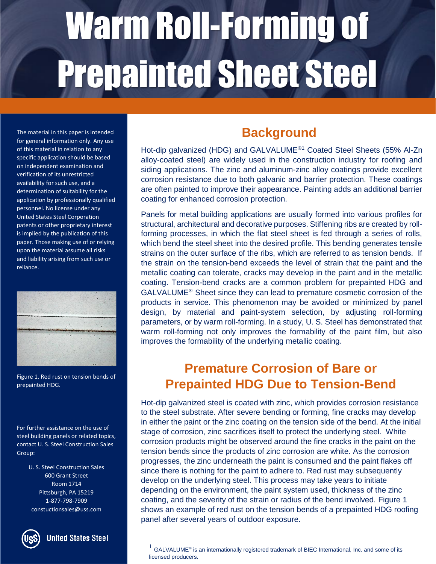The material in this paper is intended for general information only. Any use of this material in relation to any specific application should be based on independent examination and verification of its unrestricted availability for such use, and a determination of suitability for the application by professionally qualified personnel. No license under any United States Steel Corporation patents or other proprietary interest is implied by the publication of this paper. Those making use of or relying upon the material assume all risks and liability arising from such use or reliance.



Figure 1. Red rust on tension bends of prepainted HDG.

#### For further assistance on the use of steel building panels or related topics, contact U. S. Steel Construction Sales Group:

U. S. Steel Construction Sales 600 Grant Street Room 1714 Pittsburgh, PA 15219 1-877-798-7909 constuctionsales@uss.com



**United States Steel** 

#### **Background**

Hot-dip galvanized (HDG) and GALVALUME<sup>®1</sup> Coated Steel Sheets (55% Al-Zn alloy-coated steel) are widely used in the construction industry for roofing and siding applications. The zinc and aluminum-zinc alloy coatings provide excellent corrosion resistance due to both galvanic and barrier protection. These coatings are often painted to improve their appearance. Painting adds an additional barrier coating for enhanced corrosion protection.

Panels for metal building applications are usually formed into various profiles for structural, architectural and decorative purposes. Stiffening ribs are created by rollforming processes, in which the flat steel sheet is fed through a series of rolls, which bend the steel sheet into the desired profile. This bending generates tensile strains on the outer surface of the ribs, which are referred to as tension bends. If the strain on the tension-bend exceeds the level of strain that the paint and the metallic coating can tolerate, cracks may develop in the paint and in the metallic coating. Tension-bend cracks are a common problem for prepainted HDG and  $GALVALUME<sup>®</sup>$  Sheet since they can lead to premature cosmetic corrosion of the products in service. This phenomenon may be avoided or minimized by panel design, by material and paint-system selection, by adjusting roll-forming parameters, or by warm roll-forming. In a study, U. S. Steel has demonstrated that warm roll-forming not only improves the formability of the paint film, but also improves the formability of the underlying metallic coating.

#### **Premature Corrosion of Bare or Prepainted HDG Due to Tension-Bend**

Hot-dip galvanized steel is coated with zinc, which provides corrosion resistance **Cracking** to the steel substrate. After severe bending or forming, fine cracks may develop in either the paint or the zinc coating on the tension side of the bend. At the initial stage of corrosion, zinc sacrifices itself to protect the underlying steel. White corrosion products might be observed around the fine cracks in the paint on the tension bends since the products of zinc corrosion are white. As the corrosion progresses, the zinc underneath the paint is consumed and the paint flakes off since there is nothing for the paint to adhere to. Red rust may subsequently develop on the underlying steel. This process may take years to initiate depending on the environment, the paint system used, thickness of the zinc coating, and the severity of the strain or radius of the bend involved. Figure 1 shows an example of red rust on the tension bends of a prepainted HDG roofing panel after several years of outdoor exposure.

 $^{1}$  GALVALUME® is an internationally registered trademark of BIEC International, Inc. and some of its licensed producers.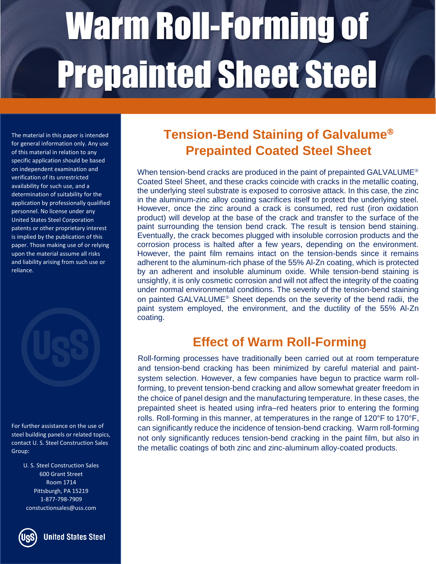The material in this paper is intended for general information only. Any use of this material in relation to any specific application should be based on independent examination and verification of its unrestricted availability for such use, and a determination of suitability for the application by professionally qualified personnel. No license under any United States Steel Corporation patents or other proprietary interest is implied by the publication of this paper. Those making use of or relying upon the material assume all risks and liability arising from such use or reliance.

For further assistance on the use of steel building panels or related topics,

contact U. S. Steel Construction Sales Group:

U. S. Steel Construction Sales 600 Grant Street Room 1714 Pittsburgh, PA 15219 1-877-798-7909 constuctionsales@uss.com



#### **Tension-Bend Staining of Galvalume Prepainted Coated Steel Sheet**

When tension-bend cracks are produced in the paint of prepainted GALVALUME<sup>®</sup> Coated Steel Sheet, and these cracks coincide with cracks in the metallic coating, the underlying steel substrate is exposed to corrosive attack. In this case, the zinc in the aluminum-zinc alloy coating sacrifices itself to protect the underlying steel. However, once the zinc around a crack is consumed, red rust (iron oxidation product) will develop at the base of the crack and transfer to the surface of the paint surrounding the tension bend crack. The result is tension bend staining. Eventually, the crack becomes plugged with insoluble corrosion products and the corrosion process is halted after a few years, depending on the environment. However, the paint film remains intact on the tension-bends since it remains adherent to the aluminum-rich phase of the 55% Al-Zn coating, which is protected by an adherent and insoluble aluminum oxide. While tension-bend staining is unsightly, it is only cosmetic corrosion and will not affect the integrity of the coating under normal environmental conditions. The severity of the tension-bend staining on painted GALVALUME<sup>®</sup> Sheet depends on the severity of the bend radii, the paint system employed, the environment, and the ductility of the 55% Al-Zn coating.

#### **Effect of Warm Roll-Forming**

c and tension-bend cracking has been minimized by careful material and paint-Roll-forming processes have traditionally been carried out at room temperature system selection. However, a few companies have begun to practice warm rollforming, to prevent tension-bend cracking and allow somewhat greater freedom in the choice of panel design and the manufacturing temperature. In these cases, the prepainted sheet is heated using infra–red heaters prior to entering the forming rolls. Roll-forming in this manner, at temperatures in the range of 120°F to 170°F, can significantly reduce the incidence of tension-bend cracking. Warm roll-forming not only significantly reduces tension-bend cracking in the paint film, but also in the metallic coatings of both zinc and zinc-aluminum alloy-coated products.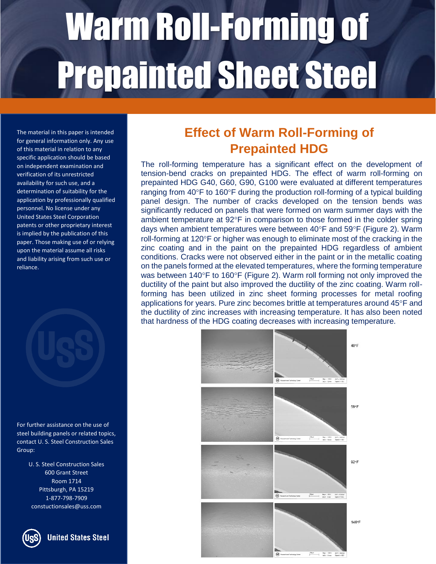The material in this paper is intended for general information only. Any use of this material in relation to any specific application should be based on independent examination and verification of its unrestricted availability for such use, and a determination of suitability for the application by professionally qualified personnel. No license under any United States Steel Corporation patents or other proprietary interest is implied by the publication of this paper. Those making use of or relying upon the material assume all risks and liability arising from such use or reliance.



For further assistance on the use of steel building panels or related topics, contact U. S. Steel Construction Sales Group:

> U. S. Steel Construction Sales 600 Grant Street Room 1714 Pittsburgh, PA 15219 1-877-798-7909 constuctionsales@uss.com



#### **Effect of Warm Roll-Forming of Prepainted HDG**

The roll-forming temperature has a significant effect on the development of tension-bend cracks on prepainted HDG. The effect of warm roll-forming on prepainted HDG G40, G60, G90, G100 were evaluated at different temperatures ranging from  $40^{\circ}$ F to 160 $^{\circ}$ F during the production roll-forming of a typical building panel design. The number of cracks developed on the tension bends was significantly reduced on panels that were formed on warm summer days with the ambient temperature at  $92^{\circ}F$  in comparison to those formed in the colder spring days when ambient temperatures were between  $40^{\circ}$ F and  $59^{\circ}$ F (Figure 2). Warm roll-forming at  $120^{\circ}$ F or higher was enough to eliminate most of the cracking in the zinc coating and in the paint on the prepainted HDG regardless of ambient conditions. Cracks were not observed either in the paint or in the metallic coating on the panels formed at the elevated temperatures, where the forming temperature was between 140°F to 160°F (Figure 2). Warm roll forming not only improved the ductility of the paint but also improved the ductility of the zinc coating. Warm rollforming has been utilized in zinc sheet forming processes for metal roofing applications for years. Pure zinc becomes brittle at temperatures around 45°F and the ductility of zinc increases with increasing temperature. It has also been noted that hardness of the HDG coating decreases with increasing temperature.

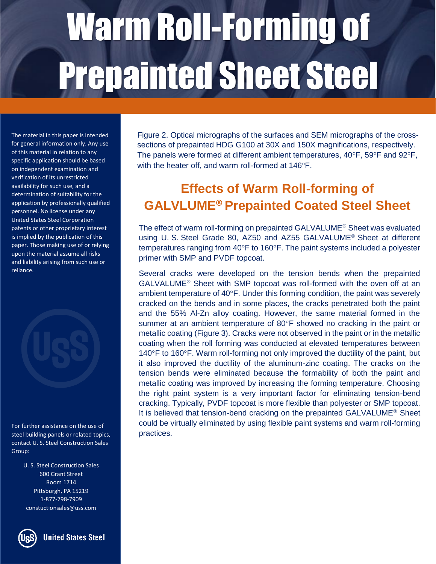The material in this paper is intended for general information only. Any use of this material in relation to any specific application should be based on independent examination and verification of its unrestricted availability for such use, and a determination of suitability for the application by professionally qualified personnel. No license under any United States Steel Corporation patents or other proprietary interest is implied by the publication of this paper. Those making use of or relying upon the material assume all risks and liability arising from such use or reliance.

For further assistance on the use of steel building panels or related topics, contact U. S. Steel Construction Sales Group:

> U. S. Steel Construction Sales 600 Grant Street Room 1714 Pittsburgh, PA 15219 1-877-798-7909 constuctionsales@uss.com

**United States Steel** 

Figure 2. Optical micrographs of the surfaces and SEM micrographs of the crosssections of prepainted HDG G100 at 30X and 150X magnifications, respectively. The panels were formed at different ambient temperatures,  $40^{\circ}$ F,  $59^{\circ}$ F and  $92^{\circ}$ F, with the heater off, and warm roll-formed at 146°F.

### **Effects of Warm Roll-forming of GALVLUME Prepainted Coated Steel Sheet**

The effect of warm roll-forming on prepainted GALVALUME<sup>®</sup> Sheet was evaluated using U. S. Steel Grade 80, AZ50 and AZ55 GALVALUME<sup>®</sup> Sheet at different temperatures ranging from  $40^{\circ}$ F to 160 $^{\circ}$ F. The paint systems included a polyester primer with SMP and PVDF topcoat.

Several cracks were developed on the tension bends when the prepainted  $GALVALUME<sup>®</sup>$  Sheet with SMP topcoat was roll-formed with the oven off at an ambient temperature of  $40^{\circ}$ F. Under this forming condition, the paint was severely cracked on the bends and in some places, the cracks penetrated both the paint and the 55% Al-Zn alloy coating. However, the same material formed in the summer at an ambient temperature of  $80^{\circ}$ F showed no cracking in the paint or metallic coating (Figure 3). Cracks were not observed in the paint or in the metallic coating when the roll forming was conducted at elevated temperatures between  $140^{\circ}$ F to 160 $^{\circ}$ F. Warm roll-forming not only improved the ductility of the paint, but it also improved the ductility of the aluminum-zinc coating. The cracks on the tension bends were eliminated because the formability of both the paint and metallic coating was improved by increasing the forming temperature. Choosing the right paint system is a very important factor for eliminating tension-bend cracking. Typically, PVDF topcoat is more flexible than polyester or SMP topcoat. It is believed that tension-bend cracking on the prepainted GALVALUME<sup>®</sup> Sheet could be virtually eliminated by using flexible paint systems and warm roll-forming practices.